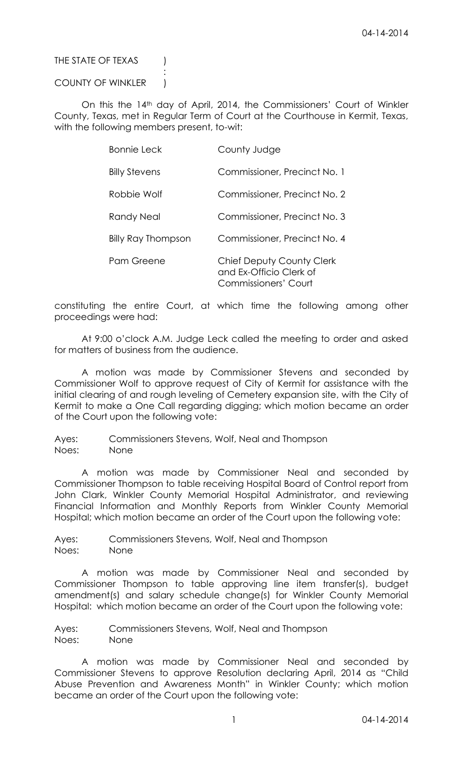THE STATE OF TEXAS (

### COUNTY OF WINKLER )

:

On this the 14th day of April, 2014, the Commissioners' Court of Winkler County, Texas, met in Regular Term of Court at the Courthouse in Kermit, Texas, with the following members present, to-wit:

| <b>Bonnie Leck</b>        | County Judge                                                                        |
|---------------------------|-------------------------------------------------------------------------------------|
| <b>Billy Stevens</b>      | Commissioner, Precinct No. 1                                                        |
| Robbie Wolf               | Commissioner, Precinct No. 2                                                        |
| Randy Neal                | Commissioner, Precinct No. 3                                                        |
| <b>Billy Ray Thompson</b> | Commissioner, Precinct No. 4                                                        |
| Pam Greene                | Chief Deputy County Clerk<br>and Ex-Officio Clerk of<br><b>Commissioners' Court</b> |

constituting the entire Court, at which time the following among other proceedings were had:

At 9:00 o'clock A.M. Judge Leck called the meeting to order and asked for matters of business from the audience.

A motion was made by Commissioner Stevens and seconded by Commissioner Wolf to approve request of City of Kermit for assistance with the initial clearing of and rough leveling of Cemetery expansion site, with the City of Kermit to make a One Call regarding digging; which motion became an order of the Court upon the following vote:

Ayes: Commissioners Stevens, Wolf, Neal and Thompson Noes: None

A motion was made by Commissioner Neal and seconded by Commissioner Thompson to table receiving Hospital Board of Control report from John Clark, Winkler County Memorial Hospital Administrator, and reviewing Financial Information and Monthly Reports from Winkler County Memorial Hospital; which motion became an order of the Court upon the following vote:

Ayes: Commissioners Stevens, Wolf, Neal and Thompson Noes: None

A motion was made by Commissioner Neal and seconded by Commissioner Thompson to table approving line item transfer(s), budget amendment(s) and salary schedule change(s) for Winkler County Memorial Hospital: which motion became an order of the Court upon the following vote:

Ayes: Commissioners Stevens, Wolf, Neal and Thompson Noes: None

A motion was made by Commissioner Neal and seconded by Commissioner Stevens to approve Resolution declaring April, 2014 as "Child Abuse Prevention and Awareness Month" in Winkler County; which motion became an order of the Court upon the following vote: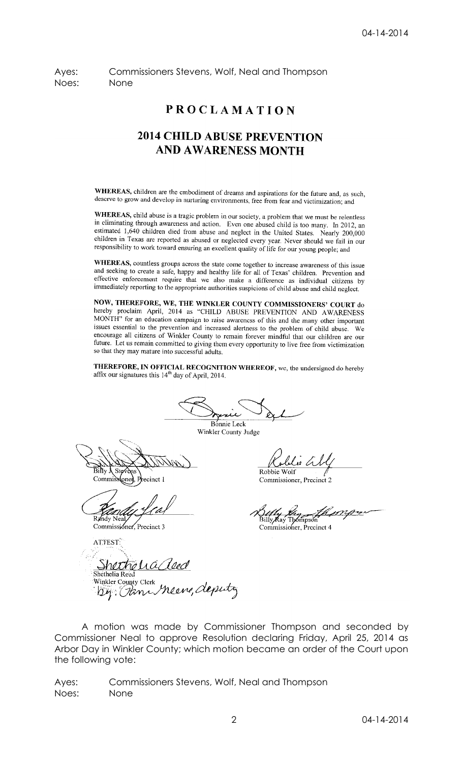Ayes: Commissioners Stevens, Wolf, Neal and Thompson Noes: None

## **PROCLAMATION**

## **2014 CHILD ABUSE PREVENTION** AND AWARENESS MONTH

WHEREAS, children are the embodiment of dreams and aspirations for the future and, as such, deserve to grow and develop in nurturing environments, free from fear and victimization; and

WHEREAS, child abuse is a tragic problem in our society, a problem that we must be relentless in eliminating through awareness and action. Even one abused child is too many. In 2012, an estimated 1,640 children died from abuse and neglect in the United States. Nearly 200,000 children in Texas are reported as abused or neglected every year. Never should we fail in our responsibility to work toward ensuring an excellent quality of life for our young people; and

WHEREAS, countless groups across the state come together to increase awareness of this issue and seeking to create a safe, happy and healthy life for all of Texas' children. Prevention and effective enforcement require that we also make a difference as individual citizens by immediately reporting to the appropriate authorities suspicions of child abuse and child neglect.

NOW, THEREFORE, WE, THE WINKLER COUNTY COMMISSIONERS' COURT do hereby proclaim April, 2014 as "CHILD ABUSE PREVENTION AND AWARENESS MONTH" for an education campaign to raise awareness of this and the many other important<br>issues accortiol to the manufacture intervals of this and the many other important issues essential to the prevention and increased alertness to the problem of child abuse. We encourage all citizens of Winkler County to remain forever mindful that our children are our future. Let us remain committed to giving them every opportunity to live free from victimization so that they may mature into successful adults.

THEREFORE, IN OFFICIAL RECOGNITION WHEREOF, we, the undersigned do hereby affix our signatures this  $14<sup>th</sup>$  day of April, 2014.

Bonnie Leck

Winkler County Judge

 $\overrightarrow{Bihy}$ . Ste Commissione cinct 1

Robbie Wolf

Commissioner, Precinct 2

<u>nvo</u> Billy Ray Thómpsoi Commissioner, Precinct 4

ATTEST.

Commissioner, Precinct 3

<u>Shethelia</u> Shethelia Reed Winkler County Clerk Meane, deputy

A motion was made by Commissioner Thompson and seconded by Commissioner Neal to approve Resolution declaring Friday, April 25, 2014 as Arbor Day in Winkler County; which motion became an order of the Court upon the following vote:

Ayes: Commissioners Stevens, Wolf, Neal and Thompson Noes: None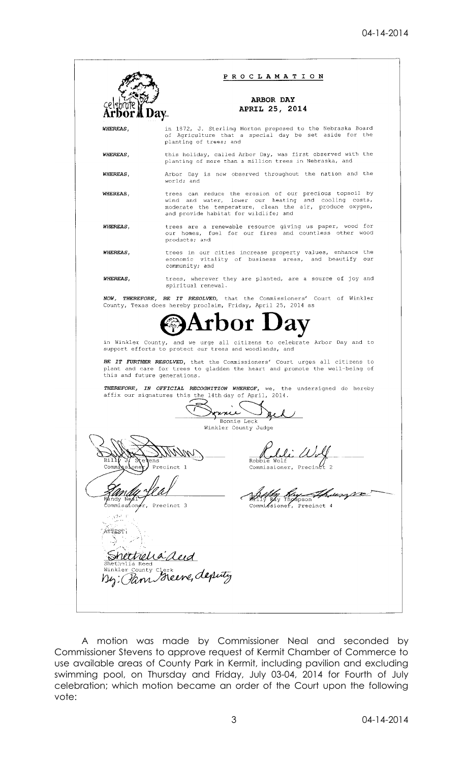

A motion was made by Commissioner Neal and seconded by Commissioner Stevens to approve request of Kermit Chamber of Commerce to use available areas of County Park in Kermit, including pavilion and excluding swimming pool, on Thursday and Friday, July 03-04, 2014 for Fourth of July celebration; which motion became an order of the Court upon the following vote: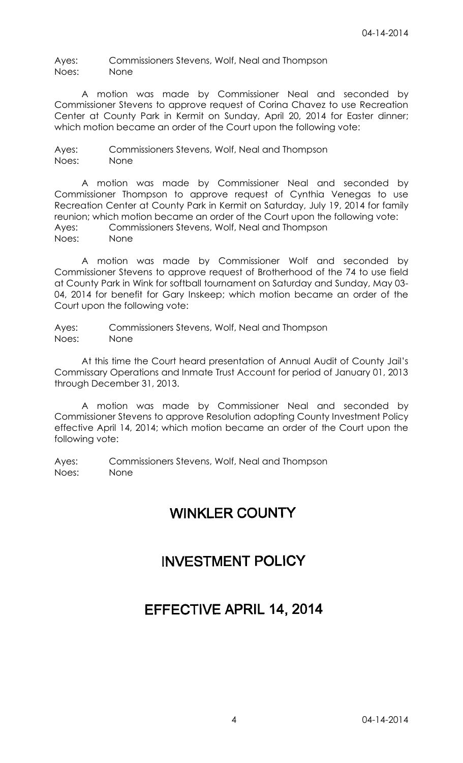Ayes: Commissioners Stevens, Wolf, Neal and Thompson Noes: None

A motion was made by Commissioner Neal and seconded by Commissioner Stevens to approve request of Corina Chavez to use Recreation Center at County Park in Kermit on Sunday, April 20, 2014 for Easter dinner; which motion became an order of the Court upon the following vote:

Ayes: Commissioners Stevens, Wolf, Neal and Thompson Noes: None

A motion was made by Commissioner Neal and seconded by Commissioner Thompson to approve request of Cynthia Venegas to use Recreation Center at County Park in Kermit on Saturday, July 19, 2014 for family reunion; which motion became an order of the Court upon the following vote: Ayes: Commissioners Stevens, Wolf, Neal and Thompson Noes: None

A motion was made by Commissioner Wolf and seconded by Commissioner Stevens to approve request of Brotherhood of the 74 to use field at County Park in Wink for softball tournament on Saturday and Sunday, May 03- 04, 2014 for benefit for Gary Inskeep; which motion became an order of the Court upon the following vote:

Ayes: Commissioners Stevens, Wolf, Neal and Thompson Noes: None

At this time the Court heard presentation of Annual Audit of County Jail's Commissary Operations and Inmate Trust Account for period of January 01, 2013 through December 31, 2013.

A motion was made by Commissioner Neal and seconded by Commissioner Stevens to approve Resolution adopting County Investment Policy effective April 14, 2014; which motion became an order of the Court upon the following vote:

Ayes: Commissioners Stevens, Wolf, Neal and Thompson Noes: None

# **WINKLER COUNTY**

## **INVESTMENT POLICY**

## EFFECTIVE APRIL 14, 2014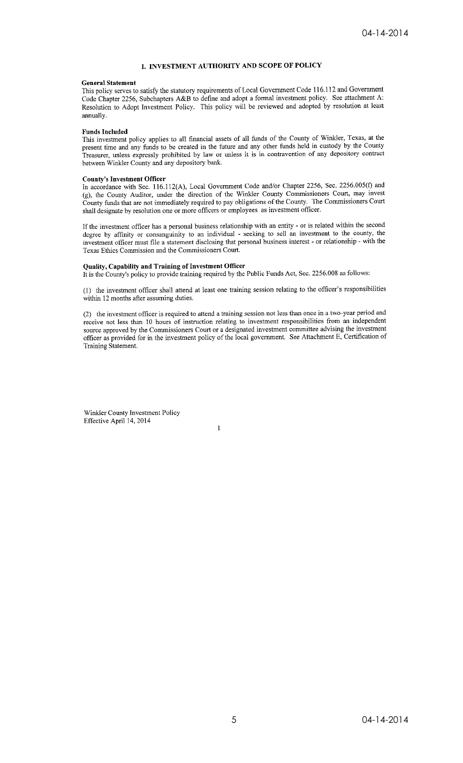#### I. INVESTMENT AUTHORITY AND SCOPE OF POLICY

#### **General Statement**

This policy serves to satisfy the statutory requirements of Local Government Code 116.112 and Government Code Chapter 2256, Subchapters A&B to define and adopt a formal investment policy. See attachment A: Resolution to Adopt Investment Policy. This policy will be reviewed and adopted by resolution at least annually.

#### **Funds Included**

This investment policy applies to all financial assets of all funds of the County of Winkler, Texas, at the present time and any funds to be created in the future and any other funds held in custody by the County Treasurer, unless expressly prohibited by law or unless it is in contravention of any depository contract between Winkler County and any depository bank.

#### **County's Investment Officer**

In accordance with Sec. 116.112(A), Local Government Code and/or Chapter 2256, Sec. 2256.005(f) and (g), the County Auditor, under the direction of the Winkler County Commissioners Court, may invest County funds that are not immediately required to pay obligations of the County. The Commissioners Court shall designate by resolution one or more officers or employees as investment officer.

If the investment officer has a personal business relationship with an entity - or is related within the second degree by affinity or consanguinity to an individual - seeking to sell an investment to the county, the investment officer must file a statement disclosing that personal business interest - or relationship - with the Texas Ethics Commission and the Commissioners Court.

#### Quality, Capability and Training of Investment Officer

It is the County's policy to provide training required by the Public Funds Act, Sec. 2256.008 as follows:

(1) the investment officer shall attend at least one training session relating to the officer's responsibilities within 12 months after assuming duties.

(2) the investment officer is required to attend a training session not less than once in a two-year period and receive not less than 10 hours of instruction relating to investment responsibilities from an independent source approved by the Commissioners Court or a designated investment committee advising the investment officer as provided for in the investment policy of the local government. See Attachment E, Certification of Training Statement.

 $\mathbf{I}$ 

Winkler County Investment Policy Effective April 14, 2014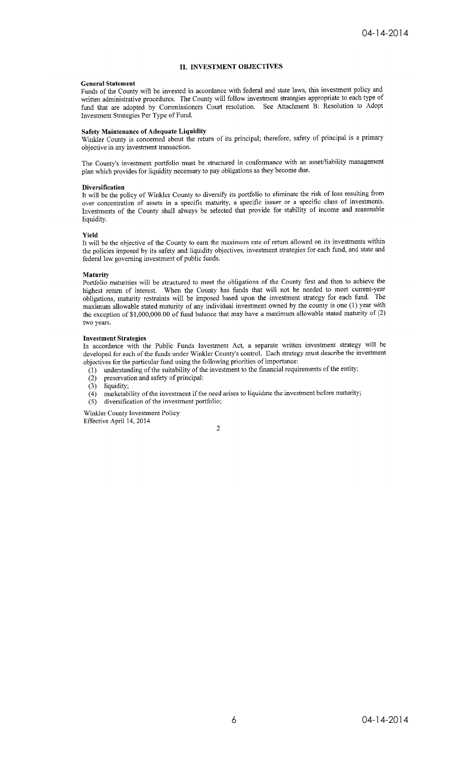#### **II. INVESTMENT OBJECTIVES**

#### **General Statement**

Funds of the County will be invested in accordance with federal and state laws, this investment policy and written administrative procedures. The County will follow investment strategies appropriate to each type of fund that are adopted by Commissioners Court resolution. See Attachment B: Resolution to Adopt Investment Strategies Per Type of Fund.

#### **Safety Maintenance of Adequate Liquidity**

Winkler County is concerned about the return of its principal; therefore, safety of principal is a primary objective in any investment transaction.

The County's investment portfolio must be structured in conformance with an asset/liability management plan which provides for liquidity necessary to pay obligations as they become due.

#### **Diversification**

It will be the policy of Winkler County to diversify its portfolio to eliminate the risk of loss resulting from over concentration of assets in a specific maturity, a specific issuer or a specific class of investments. Investments of the County shall always be selected that provide for stability of income and reasonable liquidity.

#### **Yield**

It will be the objective of the County to earn the maximum rate of return allowed on its investments within the policies imposed by its safety and liquidity objectives, investment strategies for each fund, and state and federal law governing investment of public funds.

#### Maturity

Portfolio maturities will be structured to meet the obligations of the County first and then to achieve the highest return of interest. When the County has funds that will not be needed to meet current-year obligations, maturity restraints will be imposed based upon the investment strategy for each fund. The maximum allowable stated maturity of any individual investment owned by the county is one (1) year with the exception of \$1,000,000.00 of fund balance that may have a maximum allowable stated maturity of (2) two years.

#### **Investment Strategies**

In accordance with the Public Funds Investment Act, a separate written investment strategy will be developed for each of the funds under Winkler County's control. Each strategy must describe the investment objectives for the particular fund using the following priorities of importance:

- (1) understanding of the suitability of the investment to the financial requirements of the entity;
- preservation and safety of principal:  $(2)$
- $(3)$ liquidity;
- marketability of the investment if the need arises to liquidate the investment before maturity;  $(4)$
- $(5)$ diversification of the investment portfolio;

Winkler County Investment Policy Effective April 14, 2014

 $\overline{c}$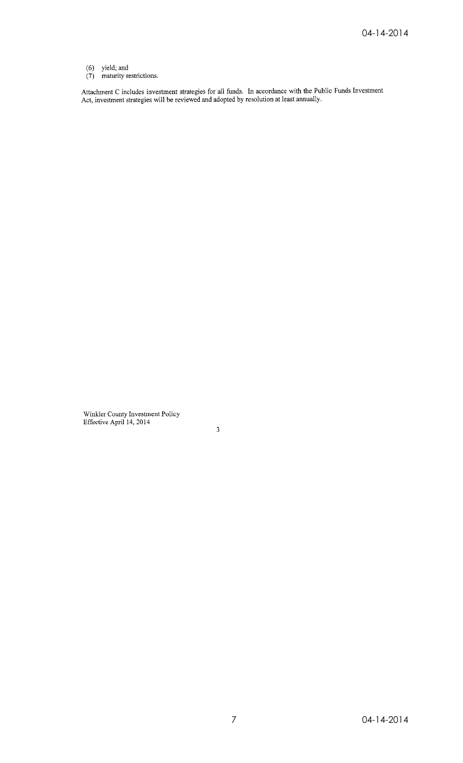- 
- (6) yield; and<br>(7) maturity restrictions.

Attachment C includes investment strategies for all funds. In accordance with the Public Funds Investment<br>Act, investment strategies will be reviewed and adopted by resolution at least annually.

Winkler County Investment Policy<br>Effective April 14, 2014

 $\sqrt{3}$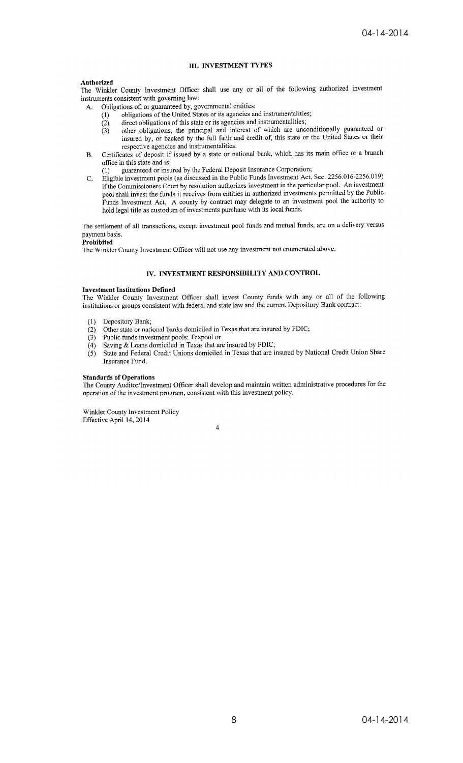#### **III. INVESTMENT TYPES**

#### Authorized

The Winkler County Investment Officer shall use any or all of the following authorized investment instruments consistent with governing law:

- Obligations of, or guaranteed by, governmental entities: A.
	- obligations of the United States or its agencies and instrumentalities;  $(1)$
	- direct obligations of this state or its agencies and instrumentalities;
	- $\frac{1}{2}$ <br>(3) other obligations, the principal and interest of which are unconditionally guaranteed or insured by, or backed by the full faith and credit of, this state or the United States or their respective agencies and instrumentalities.
- Certificates of deposit if issued by a state or national bank, which has its main office or a branch  $\mathbf{R}$ . office in this state and is:
	- guaranteed or insured by the Federal Deposit Insurance Corporation;  $(1)$
- Eligible investment pools (as discussed in the Public Funds Investment Act, Sec. 2256.016-2256.019) C. if the Commissioners Court by resolution authorizes investment in the particular pool. An investment pool shall invest the funds it receives from entities in authorized investments permitted by the Public Funds Investment Act. A county by contract may delegate to an investment pool the authority to hold legal title as custodian of investments purchase with its local funds.

The settlement of all transactions, except investment pool funds and mutual funds, are on a delivery versus payment basis.

#### Prohibited

The Winkler County Investment Officer will not use any investment not enumerated above.

#### IV. INVESTMENT RESPONSIBILITY AND CONTROL

#### **Investment Institutions Defined**

The Winkler County Investment Officer shall invest County funds with any or all of the following institutions or groups consistent with federal and state law and the current Depository Bank contract:

- Depository Bank;  $(1)$
- Other state or national banks domiciled in Texas that are insured by FDIC;  $(2)$
- $(3)$
- Public funds investment pools; Texpool or<br>Saving & Loans domiciled in Texas that are insured by FDIC;  $(4)$
- State and Federal Credit Unions domiciled in Texas that are insured by National Credit Union Share  $(5)$ Insurance Fund.

#### **Standards of Operations**

The County Auditor/Investment Officer shall develop and maintain written administrative procedures for the operation of the investment program, consistent with this investment policy.

Winkler County Investment Policy Effective April 14, 2014

 $\overline{4}$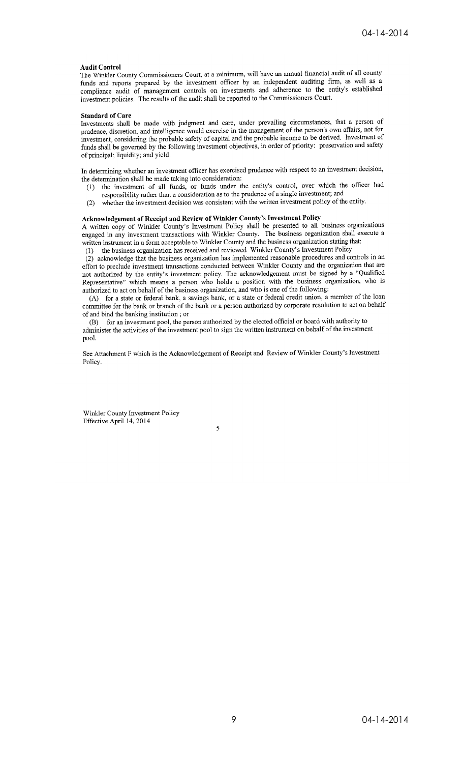#### **Audit Control**

The Winkler County Commissioners Court, at a minimum, will have an annual financial audit of all county funds and reports prepared by the investment officer by an independent auditing firm, as well as a compliance audit of management controls on investments and adherence to the entity's established investment policies. The results of the audit shall be reported to the Commissioners Court.

#### **Standard of Care**

Investments shall be made with judgment and care, under prevailing circumstances, that a person of prudence, discretion, and intelligence would exercise in the management of the person's own affairs, not for investment, considering the probable safety of capital and the probable income to be derived. Investment of funds shall be governed by the following investment objectives, in order of priority: preservation and safety of principal; liquidity; and yield.

In determining whether an investment officer has exercised prudence with respect to an investment decision, the determination shall be made taking into consideration:

- the investment of all funds, or funds under the entity's control, over which the officer had  $(1)$ responsibility rather than a consideration as to the prudence of a single investment; and
- whether the investment decision was consistent with the written investment policy of the entity.  $(2)$

#### Acknowledgement of Receipt and Review of Winkler County's Investment Policy

A written copy of Winkler County's Investment Policy shall be presented to all business organizations engaged in any investment transactions with Winkler County. The business organization shall execute a written instrument in a form acceptable to Winkler County and the business organization stating that: the business organization has received and reviewed Winkler County's Investment Policy  $(1)$ 

(2) acknowledge that the business organization has implemented reasonable procedures and controls in an effort to preclude investment transactions conducted between Winkler County and the organization that are

not authorized by the entity's investment policy. The acknowledgement must be signed by a "Qualified Representative" which means a person who holds a position with the business organization, who is authorized to act on behalf of the business organization, and who is one of the following:

(A) for a state or federal bank, a savings bank, or a state or federal credit union, a member of the loan committee for the bank or branch of the bank or a person authorized by corporate resolution to act on behalf of and bind the banking institution; or

for an investment pool, the person authorized by the elected official or board with authority to (B) administer the activities of the investment pool to sign the written instrument on behalf of the investment pool.

See Attachment F which is the Acknowledgement of Receipt and Review of Winkler County's Investment Policy.

Winkler County Investment Policy Effective April 14, 2014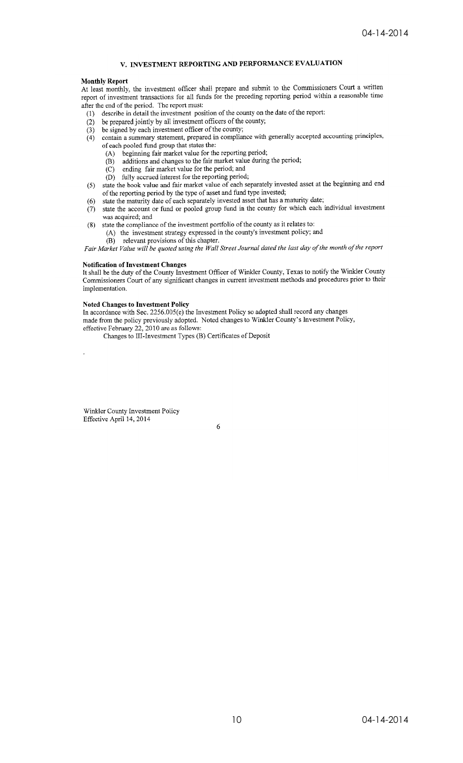## V. INVESTMENT REPORTING AND PERFORMANCE EVALUATION

#### **Monthly Report**

At least monthly, the investment officer shall prepare and submit to the Commissioners Court a written report of investment transactions for all funds for the preceding reporting period within a reasonable time after the end of the period. The report must:

- describe in detail the investment position of the county on the date of the report:  $(1)$
- be prepared jointly by all investment officers of the county;  $(2)$
- be signed by each investment officer of the county;  $(3)$
- contain a summary statement, prepared in compliance with generally accepted accounting principles,  $(4)$ of each pooled fund group that states the:
	- beginning fair market value for the reporting period;  $(A)$ 
		- additions and changes to the fair market value during the period;  $(B)$
	- ending fair market value for the period; and  $(C)$
	- $(D)$  fully accrued interest for the reporting period;
- state the book value and fair market value of each separately invested asset at the beginning and end  $(5)$ of the reporting period by the type of asset and fund type invested;
- state the maturity date of each separately invested asset that has a maturity date;  $(6)$
- state the account or fund or pooled group fund in the county for which each individual investment  $(7)$ was acquired; and
- state the compliance of the investment portfolio of the county as it relates to:  $(8)$ (A) the investment strategy expressed in the county's investment policy; and
	- (B) relevant provisions of this chapter.

Fair Market Value will be quoted using the Wall Street Journal dated the last day of the month of the report

#### **Notification of Investment Changes**

It shall be the duty of the County Investment Officer of Winkler County, Texas to notify the Winkler County Commissioners Court of any significant changes in current investment methods and procedures prior to their implementation.

#### **Noted Changes to Investment Policy**

In accordance with Sec. 2256.005(e) the Investment Policy so adopted shall record any changes

made from the policy previously adopted. Noted changes to Winkler County's Investment Policy, effective February 22, 2010 are as follows:

Changes to III-Investment Types (B) Certificates of Deposit

Winkler County Investment Policy Effective April 14, 2014

6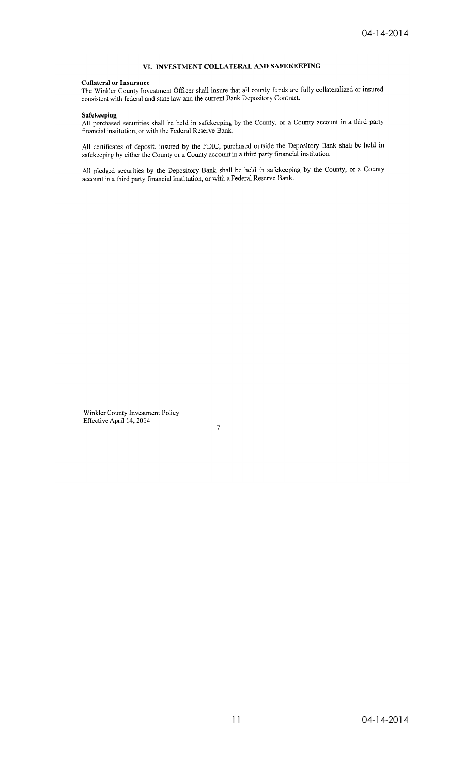#### VI. INVESTMENT COLLATERAL AND SAFEKEEPING

#### **Collateral or Insurance**

The Winkler County Investment Officer shall insure that all county funds are fully collateralized or insured<br>consistent with federal and state law and the current Bank Depository Contract.

Safekeeping<br>All purchased securities shall be held in safekeeping by the County, or a County account in a third party financial institution, or with the Federal Reserve Bank.

All certificates of deposit, insured by the FDIC, purchased outside the Depository Bank shall be held in safekeeping by either the County or a County account in a third party financial institution.

All pledged securities by the Depository Bank shall be held in safekeeping by the County, or a County account in a third party financial institution, or with a Federal Reserve Bank.

Winkler County Investment Policy<br>Effective April 14, 2014

 $\overline{7}$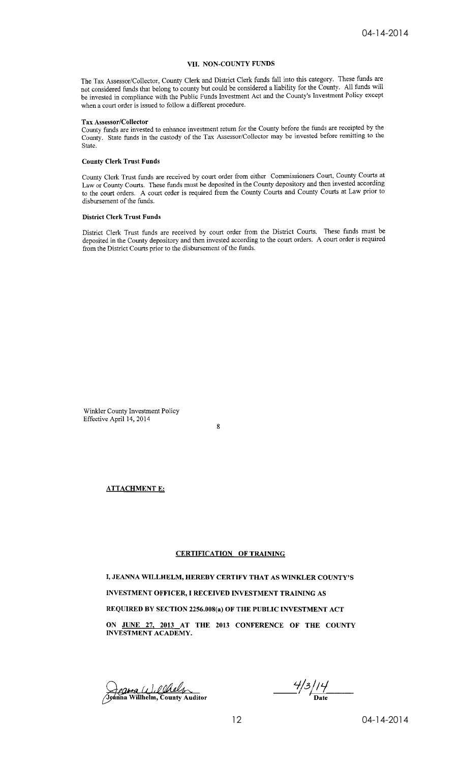#### VII. NON-COUNTY FUNDS

The Tax Assessor/Collector, County Clerk and District Clerk funds fall into this category. These funds are not considered funds that belong to county but could be considered a liability for the County. All funds will be invested in compliance with the Public Funds Investment Act and the County's Investment Policy except when a court order is issued to follow a different procedure.

#### Tax Assessor/Collector

County funds are invested to enhance investment return for the County before the funds are receipted by the County. State funds in the custody of the Tax Assessor/Collector may be invested before remitting to the State.

#### **County Clerk Trust Funds**

County Clerk Trust funds are received by court order from either Commissioners Court, County Courts at Law or County Courts. These funds must be deposited in the County depository and then invested according to the court orders. A court order is required from the County Courts and County Courts at Law prior to disbursement of the funds.

#### **District Clerk Trust Funds**

District Clerk Trust funds are received by court order from the District Courts. These funds must be deposited in the County depository and then invested according to the court orders. A court order is required from the District Courts prior to the disbursement of the funds.

Winkler County Investment Policy Effective April 14, 2014

 $\mathbf{\hat{R}}$ 

#### **ATTACHMENT E:**

#### **CERTIFICATION OF TRAINING**

I, JEANNA WILLHELM, HEREBY CERTIFY THAT AS WINKLER COUNTY'S INVESTMENT OFFICER, I RECEIVED INVESTMENT TRAINING AS REQUIRED BY SECTION 2256.008(a) OF THE PUBLIC INVESTMENT ACT ON JUNE 27, 2013 AT THE 2013 CONFERENCE OF THE COUNTY **INVESTMENT ACADEMY.** 

Jeanna (1), <u>Olaly</u><br>Jeanna Willhelm, County Auditor

 $\frac{4}{3}/14$  Date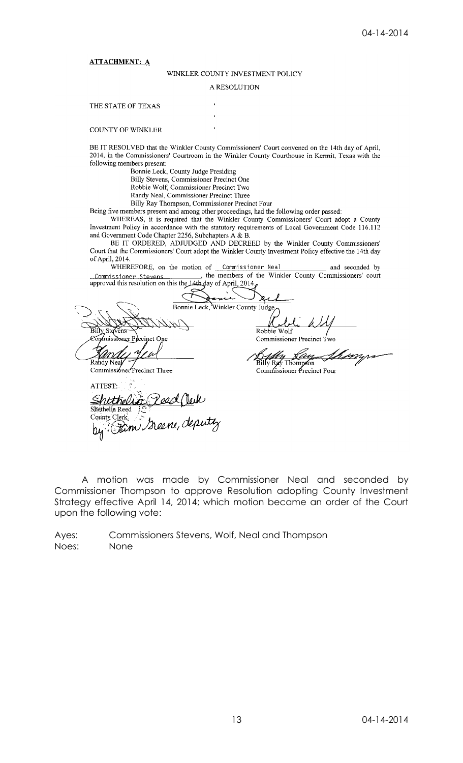#### **ATTACHMENT: A**

#### WINKLER COUNTY INVESTMENT POLICY

#### A RESOLUTION

#### THE STATE OF TEXAS

#### **COUNTY OF WINKLER**

BE IT RESOLVED that the Winkler County Commissioners' Court convened on the 14th day of April, 2014, in the Commissioners' Courtroom in the Winkler County Courthouse in Kermit, Texas with the following members present:

Bonnie Leck, County Judge Presiding Billy Stevens, Commissioner Precinct One<br>Robbie Wolf, Commissioner Precinct Two Randy Neal, Commissioner Precinct Three

Billy Ray Thompson, Commissioner Precinct Four

Being five members present and among other proceedings, had the following order passed:<br>WHEREAS, it is required that the Winkler County Commissioners' Court adopt a County

Investment Policy in accordance with the statutory requirements of Local Government Code 116.112 and Government Code Chapter 2256, Subchapters A & B.

BE IT ORDERED, ADJUDGED AND DECREED by the Winkler County Commissioners' Court that the Commissioners' Court adopt the Winkler County Investment Policy effective the 14th day of April, 2014.

WHEREFORE, on the motion of Commissioner Neal and seconded by<br>issioner Stevens \_\_\_\_\_\_\_\_, the members of the Winkler County Commissioners' court Commissioner Stevens , the members of<br>approved this resolution on this the 14th day of April, 2014

ছব Bonnie Leck, Winkler County Judge Robbie Wolf  $5$ illy Ste **u**misstoner Pr Commissioner Precinct Two inct One Billy Ray Thompson Rahdy NeaJ Commissioner Precinct Three ATTEST. Shethelic Pood Ouk<br>Shethelia Reed & Pood Ouk<br>County Clerk Deene, deputy  $b$ y (

A motion was made by Commissioner Neal and seconded by Commissioner Thompson to approve Resolution adopting County Investment Strategy effective April 14, 2014; which motion became an order of the Court upon the following vote:

Ayes: Commissioners Stevens, Wolf, Neal and Thompson Noes: None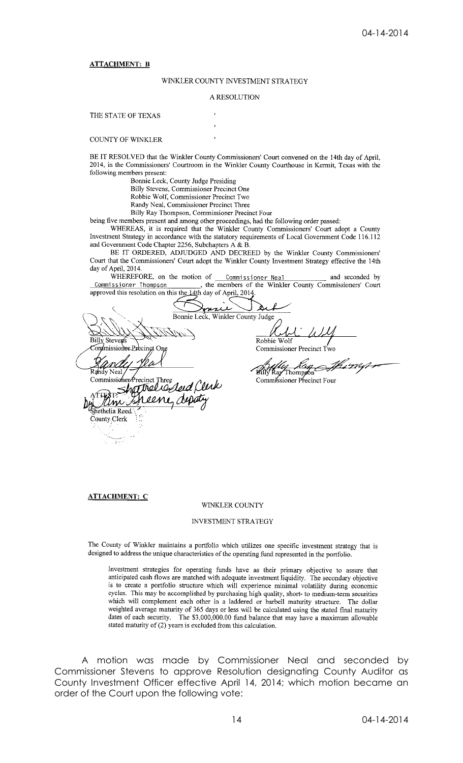#### **ATTACHMENT: B**

#### WINKLER COUNTY INVESTMENT STRATEGY

#### A RESOLUTION

THE STATE OF TEXAS

**COUNTY OF WINKLER** 

BE IT RESOLVED that the Winkler County Commissioners' Court convened on the 14th day of April, 2014, in the Commissioners' Courtroom in the Winkler County Courthouse in Kermit, Texas with the following members present:

Bonnie Leck, County Judge Presiding

Billy Stevens, Commissioner Precinct One Robbie Wolf, Commissioner Precinct Two

Randy Neal, Commissioner Precinct Three

Billy Ray Thompson, Commissioner Precinct Four

being five members present and among other proceedings, had the following order passed:

WHEREAS, it is required that the Winkler County Commissioners' Court adopt a County Investment Strategy in accordance with the statutory requirements of Local Government Code 116.112 and Government Code Chapter 2256, Subchapters A & B.

BE IT ORDERED, ADJUDGED AND DECREED by the Winkler County Commissioners' Court that the Commissioners' Court adopt the Winkler County Investment Strategy effective the 14th day of April, 2014.

WHEREFORE, on the motion of \_ n of <u>Commissioner Neal</u> and seconded by<br>
the members of the Winkler County Commissioners' Court Commissioner Thompson approved this resolution on this the 14th day of April, 2014.

Àλ nue Bonnie Leck, Winkler County Judge **Billy Steven** Robbie on/missionerPr Commissioner n/I Billy Ray Neal Thompson' Commissioner Precinct Four  $00M$ ethelia Reed County Clerk

#### **ATTACHMENT: C**

#### **WINKLER COUNTY**

#### INVESTMENT STRATEGY

The County of Winkler maintains a portfolio which utilizes one specific investment strategy that is designed to address the unique characteristics of the operating fund represented in the portfolio.

Investment strategies for operating funds have as their primary objective to assure that anticipated cash flows are matched with adequate investment liquidity. The secondary objective is to create a portfolio structure which will experience minimal volatility during economic cycles. This may be accomplished by purchasing high quality, short- to medium-term securities which will complement each other in a laddered or barbell maturity structure. The dollar weighted average maturity of 365 days or less will be calculated using the stated final maturity dates of each security. The \$3,000,000.00 fund balance that may have a maximum allowable stated maturity of (2) years is excluded from this calculation.

A motion was made by Commissioner Neal and seconded by Commissioner Stevens to approve Resolution designating County Auditor as County Investment Officer effective April 14, 2014; which motion became an order of the Court upon the following vote: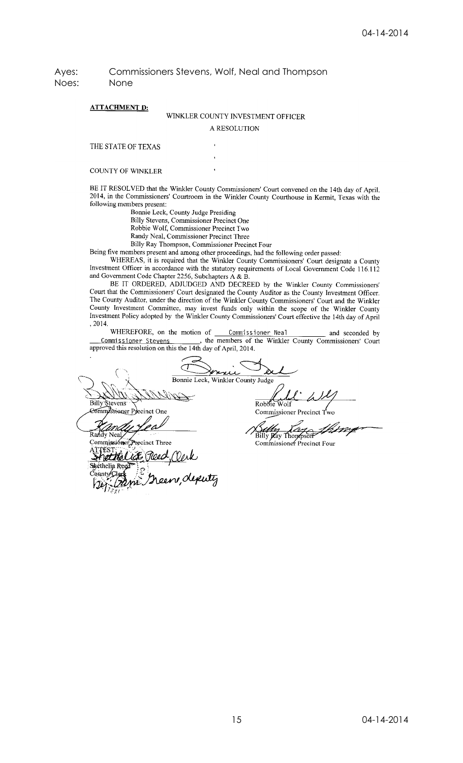Ayes: Commissioners Stevens, Wolf, Neal and Thompson Noes: None

#### **ATTACHMENT D:**

## WINKLER COUNTY INVESTMENT OFFICER

A RESOLUTION

THE STATE OF TEXAS

**COUNTY OF WINKLER** 

BE IT RESOLVED that the Winkler County Commissioners' Court convened on the 14th day of April, 2014, in the Commissioners' Courtroom in the Winkler County Courthouse in Kermit, Texas with the following members present:

Bonnie Leck, County Judge Presiding

Billy Stevens, Commissioner Precinct One

Robbie Wolf, Commissioner Precinct Two

Randy Neal, Commissioner Precinct Three Billy Ray Thompson, Commissioner Precinct Four

Being five members present and among other proceedings, had the following order passed:

WHEREAS, it is required that the Winkler County Commissioners' Court designate a County Investment Officer in accordance with the statutory requirements of Local Government Code 116.112 and Government Code Chapter 2256, Subchapters A & B.

BE IT ORDERED, ADJUDGED AND DECREED by the Winkler County Commissioners' Court that the Commissioners' Court designated the County Auditor as the County Investment Officer. The County Auditor, under the direction of the Winkler County Commissioners' Court and the Winkler County Investment Committee, may invest funds only within the scope of the Winkler County Investment Policy adopted by the Winkler County Commissioners' Court effective the 14th day of April , 2014.

WHEREFORE, on the motion of <u>Commissioner Neal</u> and seconded by missioner Stevens ..., the members of the Winkler County Commissioners' Court Commissioner Stevens , the members of approved this resolution on this the 14th day of April, 2014.

u Bonnie Leck, Winkler County Judge Billy Stevens Robbie Commissioner Precinct One **Commissioner Precinct** Ŕа Billy *play* Thompson Commissioner Precinct Four ice i A ethelick Preco hèthelia Reed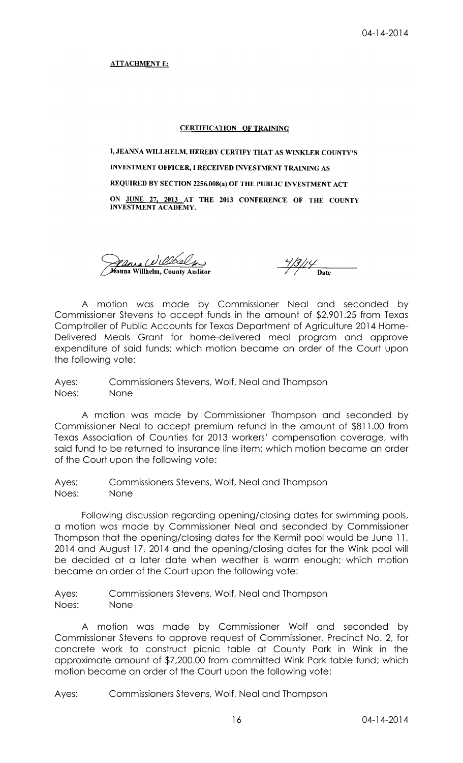**ATTACHMENT E:** 

#### **CERTIFICATION OF TRAINING**

I, JEANNA WILLHELM, HEREBY CERTIFY THAT AS WINKLER COUNTY'S **INVESTMENT OFFICER, I RECEIVED INVESTMENT TRAINING AS** REQUIRED BY SECTION 2256.008(a) OF THE PUBLIC INVESTMENT ACT ON JUNE 27, 2013 AT THE 2013 CONFERENCE OF THE COUNTY INVESTMENT ACADEMY.

Pania Willbalm Kanna Willhelm, County Auditor

 $\frac{4}{3}$ // $\frac{4}{2}$  Date

A motion was made by Commissioner Neal and seconded by Commissioner Stevens to accept funds in the amount of \$2,901.25 from Texas Comptroller of Public Accounts for Texas Department of Agriculture 2014 Home-Delivered Meals Grant for home-delivered meal program and approve expenditure of said funds; which motion became an order of the Court upon the following vote:

Ayes: Commissioners Stevens, Wolf, Neal and Thompson Noes: None

A motion was made by Commissioner Thompson and seconded by Commissioner Neal to accept premium refund in the amount of \$811.00 from Texas Association of Counties for 2013 workers' compensation coverage, with said fund to be returned to insurance line item; which motion became an order of the Court upon the following vote:

Ayes: Commissioners Stevens, Wolf, Neal and Thompson Noes: None

Following discussion regarding opening/closing dates for swimming pools, a motion was made by Commissioner Neal and seconded by Commissioner Thompson that the opening/closing dates for the Kermit pool would be June 11, 2014 and August 17, 2014 and the opening/closing dates for the Wink pool will be decided at a later date when weather is warm enough; which motion became an order of the Court upon the following vote:

Ayes: Commissioners Stevens, Wolf, Neal and Thompson Noes: None

A motion was made by Commissioner Wolf and seconded by Commissioner Stevens to approve request of Commissioner, Precinct No. 2, for concrete work to construct picnic table at County Park in Wink in the approximate amount of \$7,200.00 from committed Wink Park table fund; which motion became an order of the Court upon the following vote:

Ayes: Commissioners Stevens, Wolf, Neal and Thompson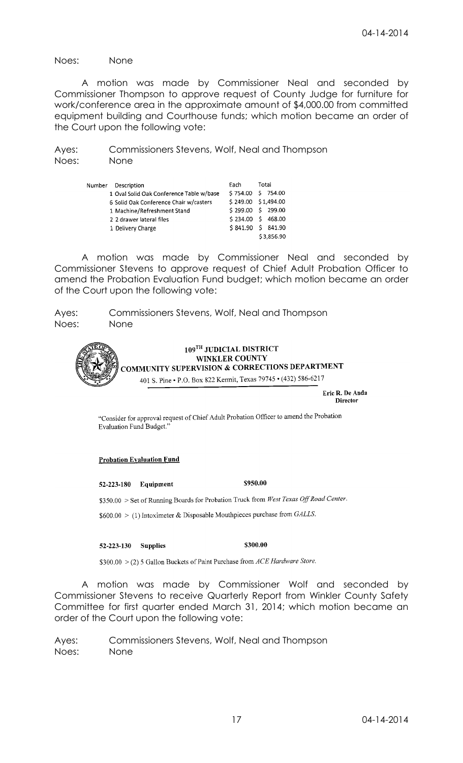Noes: None

N

A motion was made by Commissioner Neal and seconded by Commissioner Thompson to approve request of County Judge for furniture for work/conference area in the approximate amount of \$4,000.00 from committed equipment building and Courthouse funds; which motion became an order of the Court upon the following vote:

Ayes: Commissioners Stevens, Wolf, Neal and Thompson Noes: None

| Iumber | Description                              | Fach                | Total |            |
|--------|------------------------------------------|---------------------|-------|------------|
|        | 1 Oval Solid Oak Conference Table w/base | \$754.00 \$754.00   |       |            |
|        | 6 Solid Oak Conference Chair w/casters   | \$249.00 \$1,494.00 |       |            |
|        | 1 Machine/Refreshment Stand              | $$299.00$ \$ 299.00 |       |            |
|        | 2 2 drawer lateral files                 | \$234.00 \$468.00   |       |            |
|        | 1 Delivery Charge                        | $$841.90 \t$841.90$ |       |            |
|        |                                          |                     |       | \$3.856.90 |

A motion was made by Commissioner Neal and seconded by Commissioner Stevens to approve request of Chief Adult Probation Officer to amend the Probation Evaluation Fund budget; which motion became an order of the Court upon the following vote:

Ayes: Commissioners Stevens, Wolf, Neal and Thompson Noes: None



Eric R. De Anda **Director** 

"Consider for approval request of Chief Adult Probation Officer to amend the Probation Evaluation Fund Budget.'

#### **Probation Evaluation Fund**

52-223-180 Equipment

\$350.00 > Set of Running Boards for Probation Truck from West Texas Off Road Center.

 $$600.00 > (1)$  Intoximeter & Disposable Mouthpieces purchase from GALLS.

#### 52-223-130 Supplies

\$300.00 > (2) 5 Gallon Buckets of Paint Purchase from ACE Hardware Store.

A motion was made by Commissioner Wolf and seconded by Commissioner Stevens to receive Quarterly Report from Winkler County Safety Committee for first quarter ended March 31, 2014; which motion became an order of the Court upon the following vote:

Ayes: Commissioners Stevens, Wolf, Neal and Thompson Noes: None

\$950.00

\$300.00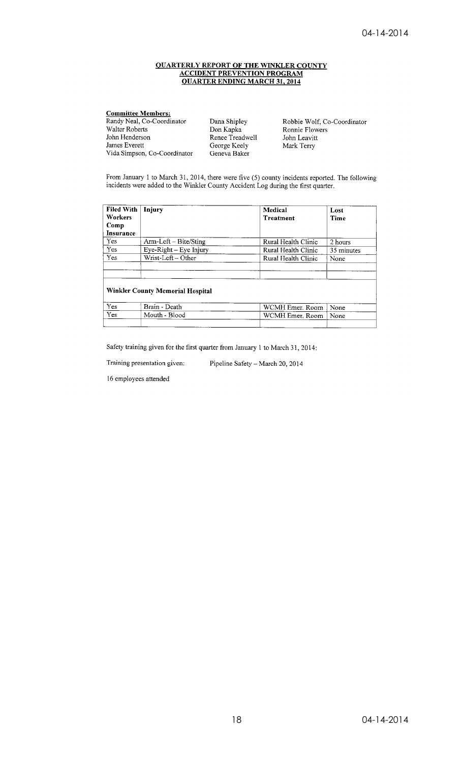# **OUARTERLY REPORT OF THE WINKLER COUNTY<br>ACCIDENT PREVENTION PROGRAM<br>QUARTER ENDING MARCH 31, 2014**

#### **Committee Members:**<br>Randy Neal, Co-Coordinator<br>Walter Roberts Robbie Wolf, Co-Coordinator Dana Shipley Don Kapka Ronnie Flowers John Henderson Renee Treadwell John Leavitt James Everett George Keely Mark Terry Vida Simpson, Co-Coordinator Geneva Baker

From January 1 to March 31, 2014, there were five (5) county incidents reported. The following incidents were added to the Winkler County Accident Log during the first quarter.

| <b>Filed With</b><br>Workers<br>Comp<br>Insurance | Injury                                  | Medical<br><b>Treatment</b> | Lost<br>Time |
|---------------------------------------------------|-----------------------------------------|-----------------------------|--------------|
| <b>Yes</b>                                        | $Arm-Left - Bite/Sting$                 | Rural Health Clinic         | 2 hours      |
| Yes                                               | Eye-Right - Eye Injury                  | Rural Health Clinic         | 35 minutes   |
| Yes                                               | $\overline{\text{W}}$ rist-Left – Other | Rural Health Clinic         | None         |
|                                                   | <b>Winkler County Memorial Hospital</b> |                             |              |
| Yes                                               | Brain - Death                           | WCMH Emer. Room             | None         |
| Yes                                               | Mouth - Blood                           | WCMH Emer, Room             | None         |

Safety training given for the first quarter from January 1 to March 31, 2014:

Training presentation given: Pipeline Safety - March 20, 2014

16 employees attended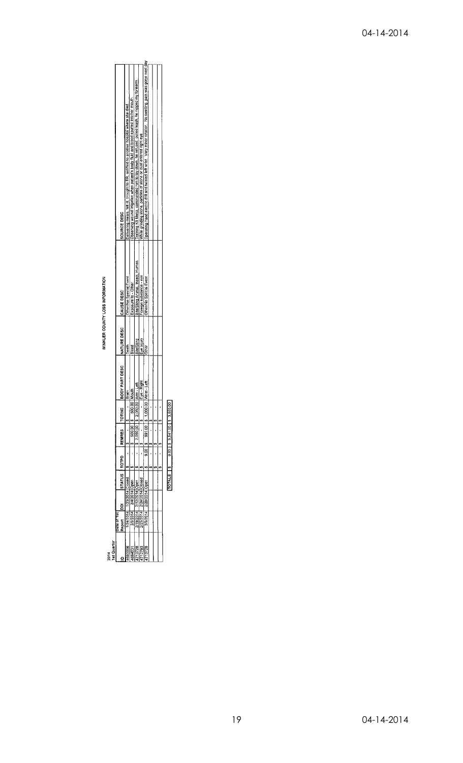WINKLER COUNTY LOSS INFORMATION

| Training K9 Mako, commanded him to lay down, he refused, pulled leash, he nipped my forearm.<br>Observing wound irrigation when patient's body fluid and blood spurted into her mouth.<br>Delivering meals, felt ill, brought to ER, airlifted to another hospital where she died.<br>While grinding stone, particles of stone or dust entered right eye<br>SOURCE DESC<br>Bite/Sting Animal, Insect, Human<br>Foreign substance - eye<br>Other/No Special Event<br>Other/No Special Event<br>Exposure to - Other<br><b>CAUSE DESC</b><br><b>IBODY PART DESC INATURE DESC</b><br>Eye injury<br>Bite/Sting<br>Blood<br><b>Death</b><br><b>Other</b><br>ye - Right<br>Vrist - Left<br>m - Lef<br>Alcuth<br>500.00<br>2,050.00<br>\$1,000.00<br><b>TOTING</b><br>$\frac{50000}{ }$<br>$-90.00$<br>2,050,00<br>REMRES<br>$8.001$ s<br>l TOTPD<br>STATUS<br>1/23/2014 Closed<br>2/24/2014 Closed<br>2/4/2014 Open<br>2/12/2014 Open<br>2/28/2014 Open<br>24/2014<br>2/5/2014<br>2/19/2014<br>2/25/2014<br>3/5/2014<br>late of 1st<br>Report<br>13728<br>12783<br>\$94031 |  |  |  |  |                                                                                                                |
|---------------------------------------------------------------------------------------------------------------------------------------------------------------------------------------------------------------------------------------------------------------------------------------------------------------------------------------------------------------------------------------------------------------------------------------------------------------------------------------------------------------------------------------------------------------------------------------------------------------------------------------------------------------------------------------------------------------------------------------------------------------------------------------------------------------------------------------------------------------------------------------------------------------------------------------------------------------------------------------------------------------------------------------------------------------------|--|--|--|--|----------------------------------------------------------------------------------------------------------------|
|                                                                                                                                                                                                                                                                                                                                                                                                                                                                                                                                                                                                                                                                                                                                                                                                                                                                                                                                                                                                                                                                     |  |  |  |  |                                                                                                                |
|                                                                                                                                                                                                                                                                                                                                                                                                                                                                                                                                                                                                                                                                                                                                                                                                                                                                                                                                                                                                                                                                     |  |  |  |  |                                                                                                                |
|                                                                                                                                                                                                                                                                                                                                                                                                                                                                                                                                                                                                                                                                                                                                                                                                                                                                                                                                                                                                                                                                     |  |  |  |  |                                                                                                                |
|                                                                                                                                                                                                                                                                                                                                                                                                                                                                                                                                                                                                                                                                                                                                                                                                                                                                                                                                                                                                                                                                     |  |  |  |  |                                                                                                                |
|                                                                                                                                                                                                                                                                                                                                                                                                                                                                                                                                                                                                                                                                                                                                                                                                                                                                                                                                                                                                                                                                     |  |  |  |  |                                                                                                                |
|                                                                                                                                                                                                                                                                                                                                                                                                                                                                                                                                                                                                                                                                                                                                                                                                                                                                                                                                                                                                                                                                     |  |  |  |  |                                                                                                                |
|                                                                                                                                                                                                                                                                                                                                                                                                                                                                                                                                                                                                                                                                                                                                                                                                                                                                                                                                                                                                                                                                     |  |  |  |  | Operating hand electric drill and twisted left wrist. Very minor rotation. No swelling, pain was gone next day |
|                                                                                                                                                                                                                                                                                                                                                                                                                                                                                                                                                                                                                                                                                                                                                                                                                                                                                                                                                                                                                                                                     |  |  |  |  |                                                                                                                |
|                                                                                                                                                                                                                                                                                                                                                                                                                                                                                                                                                                                                                                                                                                                                                                                                                                                                                                                                                                                                                                                                     |  |  |  |  |                                                                                                                |
|                                                                                                                                                                                                                                                                                                                                                                                                                                                                                                                                                                                                                                                                                                                                                                                                                                                                                                                                                                                                                                                                     |  |  |  |  |                                                                                                                |

 $2.0013$   $3.541.0013$   $3.550.00$  $\frac{13}{2}$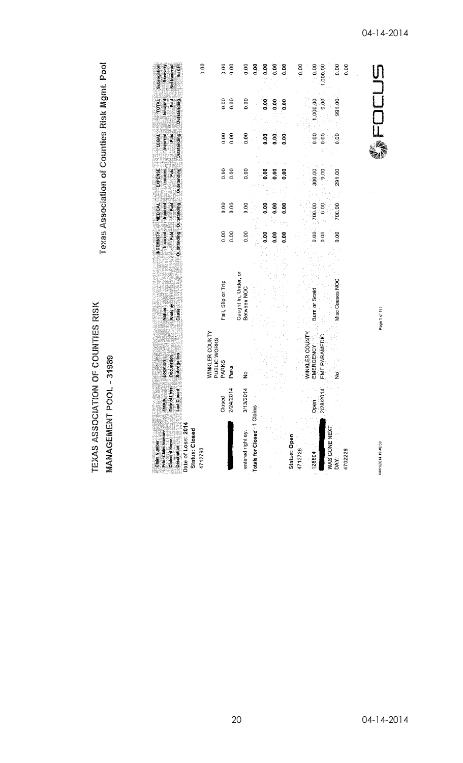TEXAS ASSOCIATION OF COUNTIES RISK MANAGEMENT POOL - 31989

Texas Association of Counties Risk Mgmt. Pool

| 0.00<br>Subrogation<br>Recovery<br><b>Risk</b><br>Net Incurred                                        | 0.00<br>0.00                                     | 0.00                                | e.o                          | 0.00 | $\frac{6}{9}$ | ိဝ<br>ဝ | 0.00                           | 0.00                               | ,000.00               | 0.00            | 0.00    |                     |
|-------------------------------------------------------------------------------------------------------|--------------------------------------------------|-------------------------------------|------------------------------|------|---------------|---------|--------------------------------|------------------------------------|-----------------------|-----------------|---------|---------------------|
| TOTAL<br>tstanding<br>neural<br>F<br>Paid<br>ā                                                        | 0.00<br>0.00                                     | 0.00                                |                              | 0.00 | 0.00          | 0.00    |                                | 1,000.00                           | 9.00                  | 991.00          |         |                     |
| LEGAL<br><b>Disd</b><br><b>Outstanding</b><br><b>Inquired</b>                                         | 0.00<br>0.00                                     | 0.00                                |                              | e.o  | 0.00          | 0.00    |                                | 0.00                               | 0.00                  | 0.00            |         |                     |
| EXPENSE<br>Incurred<br><b>Outstanding</b><br>Paid                                                     | 0.00<br>0.00                                     | 0.00                                |                              | 0.00 | 0.00          | 0.00    |                                | 300.00                             | $9.00 -$              | 291.00          |         |                     |
| <b>Sanned</b><br>tanding Cutstanding<br><b>MEDICAL</b><br><b>Hea</b>                                  | 0.00<br>0.00                                     | 0.00                                |                              | 0.00 | 0.00          | 0.00    |                                | 700.00                             | 0.00                  | 700.00          |         |                     |
| Incurred<br><b>INDEMNITY</b><br><b>Pierrent</b>                                                       | 0.00<br>0.00                                     | 0.00                                |                              | 0.00 | 0.00          | 0.00    |                                | 0.00                               | 0.00                  | 0.00            |         |                     |
| Nation<br>Anatomy<br>Cause                                                                            | Fall, Slip or Trip                               | Caught In, Under, or<br>Between NOC |                              |      |               |         |                                | <b>Burn or Scald</b>               |                       | Misc Causes NOC |         | Page 1 of 183       |
| Subrogation<br><b>Occupation</b><br>Location                                                          | WINKLER COUNTY<br>PUBLIC WORKS<br>PARKS<br>Parks | $\frac{6}{2}$                       |                              |      |               |         |                                | WINKLER COUNTY<br><b>EMERGENCY</b> | <b>EMT PARAMEDIC</b>  | ż               |         |                     |
| 580<br>Last Closed<br>$\frac{S_{\text{false}}}{S_{\text{late}}}$                                      | 2/24/2014<br>Closed                              | 3/13/2014                           |                              |      |               |         |                                | Open.                              | 2/28/2014             |                 |         |                     |
| Description<br>Date of Loss: 2014<br>Status: Closed<br>Prior Claim Number<br>Claimant Name<br>4712793 |                                                  | entered right ey.                   | Totals for Closed - 1 Claims |      |               |         | <b>Status: Open</b><br>4713728 | 128804                             | WAS GONE NEXT<br>DAY: |                 | 4702228 | 04/01/2014 19:46:36 |

04-14-2014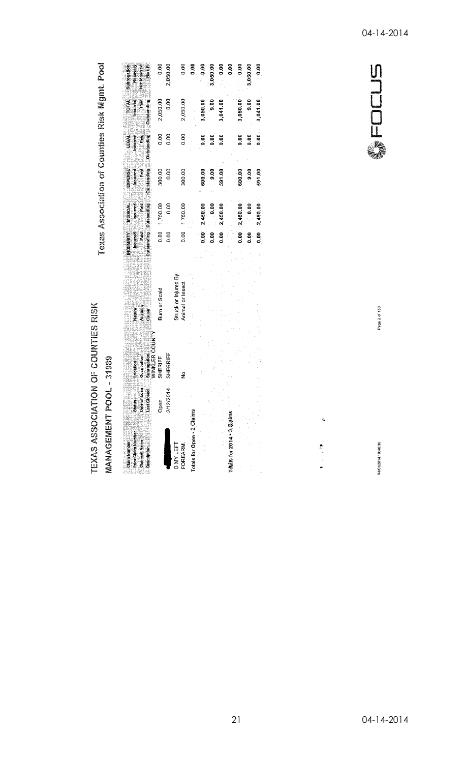Texas Association of Counties Risk Mgmt. Pool

TEXAS ASSOCIATION OF COUNTIES RISK MANAGEMENT POOL - 31989

| Claim Number<br><b>Prior Claim Number</b><br>Claimant Name<br><b>Description</b> | Lass .<br><b>ysed</b><br>State<br>Cated<br>Last Cate | _Occupation<br>_sunrogation<br>_v/INKLER COUN<br>Location | Aratomy<br>Cause<br>Nature<br>2          |               | an an an Aonaichean an Aonaiche agus an amhainn.<br>An Dàmhair an Dàmhair an amhair an amhairt<br><b>Example Theories</b><br><b>Outstanding</b> Outstanding<br><b>NDEMNITY MEDICAL</b> | <b>Experience</b><br><b>Outstanding</b><br>EXPENSE | Outstanding<br>$\frac{1}{2}$ incurred<br><b>TEGAL</b><br><b>Participate</b> | <b>NTOT</b><br><b>The Contract</b><br><b>Died</b><br><b>Outstanding</b> | Recovery<br>Risk <sub>Fl</sub><br>Subrogation<br>Net locurred |
|----------------------------------------------------------------------------------|------------------------------------------------------|-----------------------------------------------------------|------------------------------------------|---------------|----------------------------------------------------------------------------------------------------------------------------------------------------------------------------------------|----------------------------------------------------|-----------------------------------------------------------------------------|-------------------------------------------------------------------------|---------------------------------------------------------------|
|                                                                                  | Open                                                 | SHERIFF                                                   | Burn or Scald                            | 0.00          | 1,750.00                                                                                                                                                                               | 300.00                                             | 0.00                                                                        | 2,050.00                                                                | 0.00                                                          |
|                                                                                  | 2/12/2014                                            | SHERRIFF                                                  |                                          | 0.00          | 0.00                                                                                                                                                                                   | 0.00                                               | 0.00                                                                        | 0.00                                                                    | 2,050.00                                                      |
| <b>DMYLEFT</b><br>FOREARM.                                                       |                                                      | ş                                                         | Struck or Injured By<br>Animal or Insect | 0.00          | 1,750.00                                                                                                                                                                               | 300.00                                             | 0.00                                                                        | 2,050.00                                                                | ຣິ                                                            |
| Totals for Open - 2 Claims                                                       |                                                      |                                                           |                                          |               |                                                                                                                                                                                        |                                                    |                                                                             |                                                                         | ទី                                                            |
|                                                                                  |                                                      |                                                           |                                          | 8.00          | 2,450.00                                                                                                                                                                               | 600.00                                             | 0.00                                                                        | 3,050.00                                                                | ទី                                                            |
|                                                                                  |                                                      |                                                           |                                          | 0.00          | 0.00                                                                                                                                                                                   | $00^{6}$                                           | 0.00                                                                        | $\frac{6}{9}$                                                           | 3,050.00                                                      |
|                                                                                  |                                                      |                                                           |                                          | $\frac{1}{2}$ | 2,450.00                                                                                                                                                                               | 591.00                                             | 0.00                                                                        | 3,041.00                                                                | 0.00                                                          |
| Totals for 2014 * 3. @Jaims                                                      |                                                      |                                                           |                                          |               |                                                                                                                                                                                        |                                                    |                                                                             |                                                                         | ខុច                                                           |
|                                                                                  |                                                      |                                                           |                                          |               | $0.000 - 2,450.00$                                                                                                                                                                     | 600.00                                             | 8.00                                                                        | 3,050.00                                                                | ້ວ                                                            |
|                                                                                  |                                                      |                                                           |                                          | ္ငံ           | 0.00                                                                                                                                                                                   | 00.6                                               | 0.00                                                                        | 9.00                                                                    | 3,050.00                                                      |
|                                                                                  |                                                      |                                                           |                                          | 0.00          | 2,450.00                                                                                                                                                                               | 591.00                                             | 0.00                                                                        | 3,041.00                                                                |                                                               |

WFOCUS

04/01/2014 19:46:36

 $\tilde{\mathcal{G}}$ 

泰文学

Page 2 of 183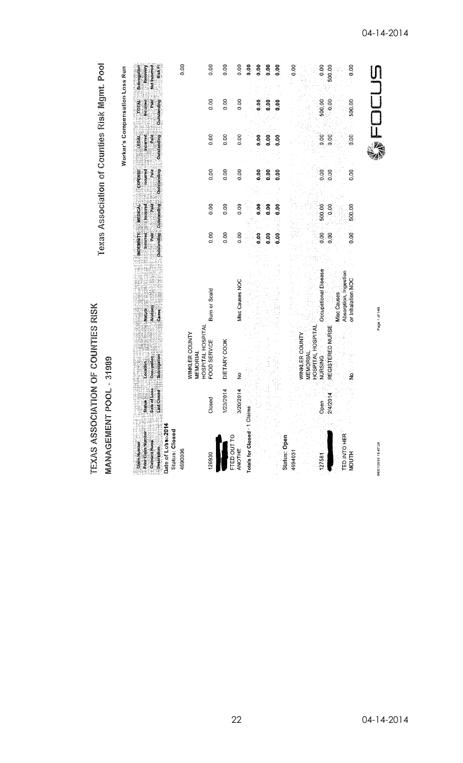| TEXAS ASSOCIAT                                                                                                          |                                                                   | <b>ION OF COUNTIES RISK</b>                                    |                            |                                                                |                                           |                                            | Texas Association of Counties Risk Mgmt. Pool    |                                              |                                                   |
|-------------------------------------------------------------------------------------------------------------------------|-------------------------------------------------------------------|----------------------------------------------------------------|----------------------------|----------------------------------------------------------------|-------------------------------------------|--------------------------------------------|--------------------------------------------------|----------------------------------------------|---------------------------------------------------|
| <b>MANAGEMENT PC</b>                                                                                                    |                                                                   | <b>QL</b> - 31999                                              |                            |                                                                |                                           |                                            |                                                  |                                              |                                                   |
|                                                                                                                         |                                                                   |                                                                |                            |                                                                |                                           |                                            | Worker's Compensation Loss Run                   |                                              |                                                   |
| e Prior Calaim Number<br>4 Prior Calaim Number<br>4 Prior Calaim Number<br>Claim Number<br>Claimant Name<br>Description | of Loss<br><b>Idset</b><br>$rac{1}{\sinh\theta}$<br>ListC<br>Date | Subrogation<br>Occupation<br>Location                          | Anatomy<br>Cause<br>Nature | Outstanding Outstanding<br>Incurred<br>Paid<br><b>NDEMNITY</b> | <b>MEDICAL</b><br>Paid<br><b>Manufact</b> | EXPENSE<br>Outstanding<br>Incurred<br>Pald | Outstanding<br><b>Incurred</b><br>Pald.<br>LEGAL | Outstanding<br>Paid<br>ncurred<br><b>Not</b> | RiskFi<br>Net Incurred<br>Recovery<br>Subrogation |
| Date of Loss 2014<br><b>Status: Closed</b><br>4690006                                                                   |                                                                   |                                                                |                            |                                                                |                                           |                                            |                                                  |                                              | 0.00                                              |
| 126930                                                                                                                  | Closed                                                            | HOSPITAL HOSPITA<br>WINKLER COUNTY<br>FOOD SERVICE<br>MEMORIAL | Burn or Scald              | 0.00                                                           | 0.00                                      | 0.00                                       | 0.00                                             | 0.00                                         | 0.00                                              |
|                                                                                                                         | 1/23/2014                                                         | DIETARY COOK                                                   |                            | 0.00                                                           | 0.00                                      | 0.00                                       |                                                  | 0.00                                         | 0.00                                              |
| FTED OUT TO                                                                                                             |                                                                   |                                                                |                            |                                                                |                                           |                                            | $\frac{0}{2}$                                    |                                              |                                                   |
| <b>ANOTHE</b>                                                                                                           | 3/20/2014                                                         | $\frac{6}{2}$                                                  | Misc Causes NOC            | $\frac{8}{10}$                                                 | 8 <sub>0</sub>                            | 0.00                                       | 0.00                                             | 0.00                                         | 0.00                                              |
| Totals for Closed - 1 Claims                                                                                            |                                                                   |                                                                |                            |                                                                |                                           |                                            |                                                  |                                              | 0.00                                              |
|                                                                                                                         |                                                                   |                                                                |                            | 80.0                                                           | 0.00                                      | 0.00                                       | 0.00                                             | 0.00                                         | 8<br>0.00                                         |
|                                                                                                                         |                                                                   |                                                                |                            | 0.00                                                           | 0.00                                      | 0.00                                       | 0.00                                             | 0.00                                         | 80.0                                              |
|                                                                                                                         |                                                                   |                                                                |                            | $-0.00\%$                                                      | 0.00                                      | 0.00                                       | o.oo                                             | $\frac{8}{3}$                                | $\frac{6}{9}$                                     |
| <b>Status: Open</b><br>4694031                                                                                          |                                                                   |                                                                |                            |                                                                |                                           |                                            |                                                  |                                              | 0.00                                              |
|                                                                                                                         |                                                                   | WINKLER COUNTY<br><b>MEMORIAL</b>                              |                            |                                                                |                                           |                                            |                                                  |                                              |                                                   |
|                                                                                                                         |                                                                   | HOSPITAL HOSPITAL                                              |                            |                                                                |                                           |                                            |                                                  |                                              |                                                   |
| 127581                                                                                                                  | Open                                                              | <b>NURSING</b>                                                 | Occupational Disease       | 0.00                                                           | 500.00                                    | 0.00                                       | 0.00                                             | 500.00                                       | 0.00                                              |
|                                                                                                                         | 2/4/2014                                                          | REGISTERED NURSE                                               | <b>Misc Causes</b>         | $\frac{8}{2}$                                                  | 0.00                                      | 0.00                                       | 0.00                                             | 0.00                                         | 500.00                                            |
| TED INTO HER                                                                                                            |                                                                   |                                                                | Absorption, Ingestion      |                                                                |                                           |                                            |                                                  |                                              |                                                   |
| <b>MOUTH</b>                                                                                                            |                                                                   | $rac{1}{2}$                                                    | or Inhalation NOC          | 0.00                                                           | 500.00                                    | 0.00                                       | 00.0                                             | 500.00                                       | 0.00                                              |
|                                                                                                                         |                                                                   |                                                                |                            |                                                                |                                           |                                            |                                                  |                                              |                                                   |
| 04/01/2014 19:47:38                                                                                                     |                                                                   |                                                                | Page 1 of 140              |                                                                |                                           |                                            |                                                  |                                              |                                                   |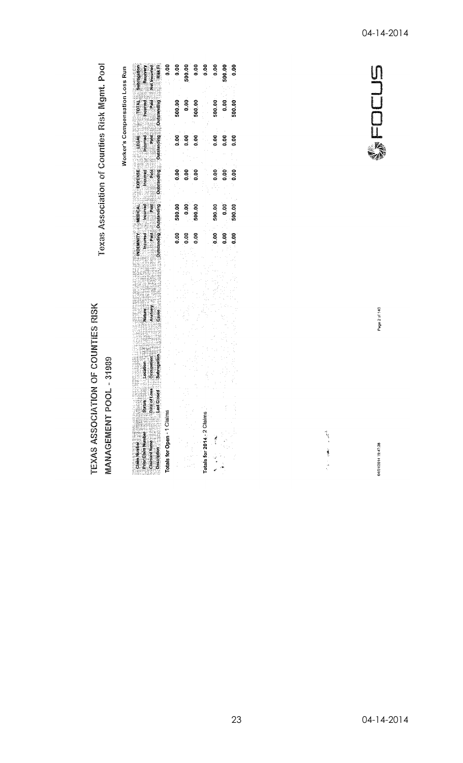Texas Association of Counties Risk Mgmt. Pool

TEXAS ASSOCIATION OF COUNTIES RISK

MANAGEMENT POOL - 31989

Worker's Compensation Loss Run

| Subrogation<br>Recovery<br>Net Incurred<br>Rick F                              | ទី   |                          | 500.00<br>0.00<br>0.00 |                            | 0.00   | 500.00<br>0.00           |  |
|--------------------------------------------------------------------------------|------|--------------------------|------------------------|----------------------------|--------|--------------------------|--|
| principal<br>Palitical<br>Palitical<br>Political<br>Political                  |      | 500.00<br>0.00<br>500.00 |                        |                            |        | 500.00<br>0.00<br>500.00 |  |
| Concienting<br>Political Liberty<br>Conciency                                  |      | ៓                        | 0.00                   |                            | 0.00   | 8<br>8<br>9<br>9<br>9    |  |
| EXPENSE<br>Incurred<br>Outstanding                                             |      | ខុខខ្ទ<br>ទំនំនំ         |                        |                            |        |                          |  |
| MEDICAL<br>Incurred<br>Pald<br>Pald                                            |      | 500.00<br>0.00<br>500.00 |                        |                            | 500.00 | $0.00$<br>500.00         |  |
| NDEMNITY<br>Incurred<br>Incurred<br>Padd                                       | 0.00 | ៓៓                       | <b>80.00</b>           |                            |        | e e e<br>---             |  |
|                                                                                |      |                          |                        |                            |        |                          |  |
| Nature<br>Anatomy<br>Cause <sup>2</sup>                                        |      |                          |                        |                            |        |                          |  |
|                                                                                |      |                          |                        |                            |        |                          |  |
| Occupation<br>ocation                                                          |      |                          |                        |                            |        |                          |  |
| 880<br>pate of Le<br>Last Clos<br>i<br>Saius                                   |      |                          |                        |                            |        |                          |  |
| Totals for Open - 1 Claims                                                     |      |                          |                        | Totals for 2014 - 2 Claims |        |                          |  |
| Claimant Name<br><b>Prior Claim Number</b><br>Description 2022<br>Claim Munber |      |                          |                        |                            | 赤さい    |                          |  |

WFOCUS

Page 2 of 140

04/01/2014 19:47:38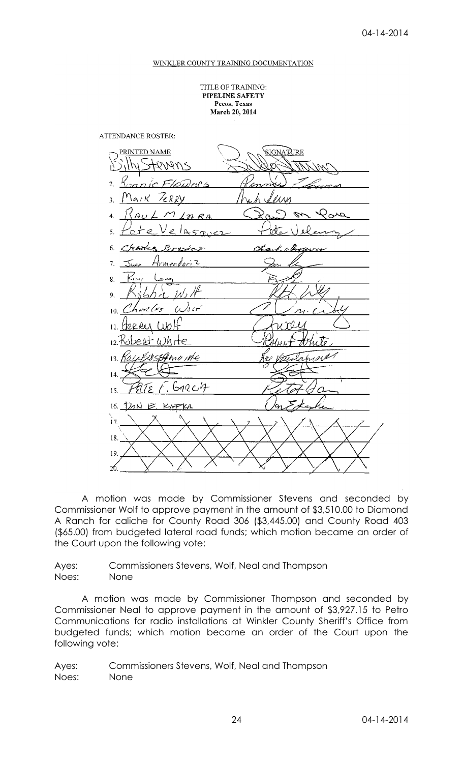#### WINKLER COUNTY TRAINING DOCUMENTATION

TITLE OF TRAINING: PIPELINE SAFETY Pecos, Texas March 20, 2014

**ATTENDANCE ROSTER:** 



A motion was made by Commissioner Stevens and seconded by Commissioner Wolf to approve payment in the amount of \$3,510.00 to Diamond A Ranch for caliche for County Road 306 (\$3,445.00) and County Road 403 (\$65.00) from budgeted lateral road funds; which motion became an order of the Court upon the following vote:

Ayes: Commissioners Stevens, Wolf, Neal and Thompson Noes: None

A motion was made by Commissioner Thompson and seconded by Commissioner Neal to approve payment in the amount of \$3,927.15 to Petro Communications for radio installations at Winkler County Sheriff's Office from budgeted funds; which motion became an order of the Court upon the following vote:

Ayes: Commissioners Stevens, Wolf, Neal and Thompson Noes: None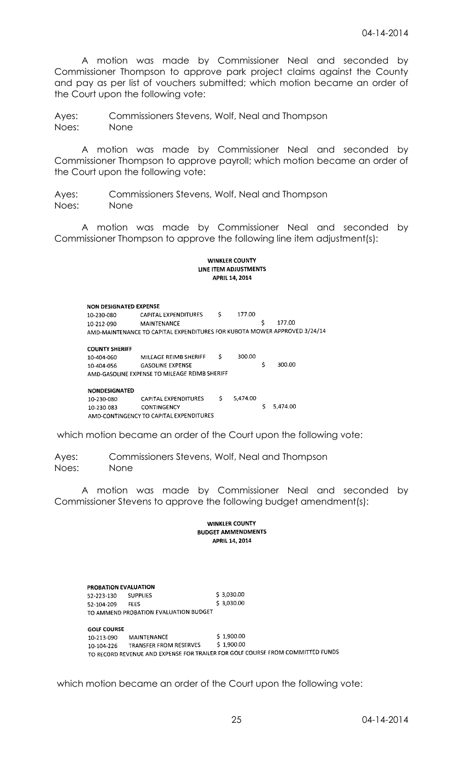A motion was made by Commissioner Neal and seconded by Commissioner Thompson to approve park project claims against the County and pay as per list of vouchers submitted; which motion became an order of the Court upon the following vote:

Ayes: Commissioners Stevens, Wolf, Neal and Thompson Noes: None

A motion was made by Commissioner Neal and seconded by Commissioner Thompson to approve payroll; which motion became an order of the Court upon the following vote:

Ayes: Commissioners Stevens, Wolf, Neal and Thompson Noes: None

A motion was made by Commissioner Neal and seconded by Commissioner Thompson to approve the following line item adjustment(s):

#### **WINKLER COUNTY** LINE ITEM ADJUSTMENTS **APRIL 14, 2014**

**NON DESIGNATED EXPENSE** 10-230-080 CAPITAL EXPENDITURES \$ 177.00 177.00 10-212-090 MAINTENANCE \$ AMD-MAINTENANCE TO CAPITAL EXPENDITURES FOR KUBOTA MOWER APPROVED 3/24/14 **COUNTY SHERIFF** MILEAGE REIMB SHERIFF 300.00  $\mathsf{S}$ 10-404-060 300.00 Ś 10-404-056 **GASOLINE EXPENSE** AMD-GASOLINE EXPENSE TO MILEAGE REIMB SHERIFF

#### **NONDESIGNATED**

| <b>NONDESIGNATED</b> |                                         |          |             |
|----------------------|-----------------------------------------|----------|-------------|
| 10-230-080           | CAPITAL EXPENDITURES                    | 5.474.00 |             |
| 10-230-083           | <b>CONTINGENCY</b>                      |          | \$ 5.474.00 |
|                      | AMD-CONTINGENCY TO CAPITAL EXPENDITURES |          |             |

which motion became an order of the Court upon the following vote:

Ayes: Commissioners Stevens, Wolf, Neal and Thompson Noes: None

A motion was made by Commissioner Neal and seconded by Commissioner Stevens to approve the following budget amendment(s):

#### **WINKLER COUNTY BUDGET AMMENDMENTS** APRIL 14, 2014

PROBATION EVALUATION \$3,030.00 52-223-130 **SUPPLIES**  $$3,030.00$ 52-104-209 **FEES** TO AMMEND PROBATION EVALUATION BUDGET **GOLF COURSE**  $$1,900.00$ 10-213-090 **MAINTENANCE**  $$1.900.00$ TRANSFER FROM RESERVES 10-104-226 TO RECORD REVENUE AND EXPENSE FOR TRAILER FOR GOLF COURSE FROM COMMITTED FUNDS

which motion became an order of the Court upon the following vote: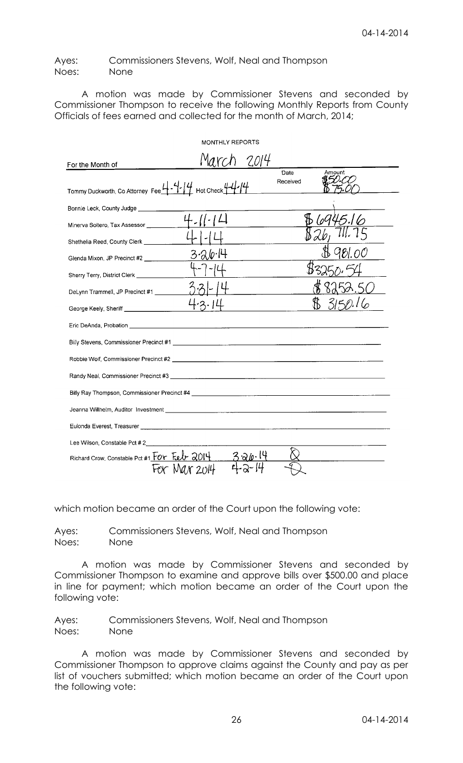Ayes: Commissioners Stevens, Wolf, Neal and Thompson Noes: None

A motion was made by Commissioner Stevens and seconded by Commissioner Thompson to receive the following Monthly Reports from County Officials of fees earned and collected for the month of March, 2014;

|                                                                                                                                                                                                                                      | <b>MONTHLY REPORTS</b> |       |                            |
|--------------------------------------------------------------------------------------------------------------------------------------------------------------------------------------------------------------------------------------|------------------------|-------|----------------------------|
| For the Month of                                                                                                                                                                                                                     | Marc                   | -2014 |                            |
| Tommy Duckworth, Co Attorney Fee 4 - 4   4 Hot Check 4 - 4 - 14                                                                                                                                                                      |                        |       | Date<br>Amount<br>Received |
| Bonnie Leck, County Judge _________                                                                                                                                                                                                  |                        |       |                            |
| Minerva Soltero, Tax Assessor __________                                                                                                                                                                                             |                        |       |                            |
| Shethelia Reed, County Clerk ___________                                                                                                                                                                                             |                        |       |                            |
| Glenda Mixon, JP Precinct #2 _____________                                                                                                                                                                                           | $3 - 20 - 14$          |       |                            |
| Sherry Terry, District Clerk _______________                                                                                                                                                                                         |                        |       |                            |
| DeLynn Trammell, JP Precinct #1 _________                                                                                                                                                                                            |                        |       |                            |
| George Keely, Sheriff _______________________                                                                                                                                                                                        |                        |       |                            |
|                                                                                                                                                                                                                                      |                        |       |                            |
|                                                                                                                                                                                                                                      |                        |       |                            |
|                                                                                                                                                                                                                                      |                        |       |                            |
|                                                                                                                                                                                                                                      |                        |       |                            |
|                                                                                                                                                                                                                                      |                        |       |                            |
|                                                                                                                                                                                                                                      |                        |       |                            |
| Eulonda Everest, Treasurer <b>Contract Contract Contract Contract Contract Contract Contract Contract Contract Contract Contract Contract Contract Contract Contract Contract Contract Contract Contract Contract Contract Contr</b> |                        |       |                            |
| Lee Wilson, Constable Pct # 2                                                                                                                                                                                                        |                        |       |                            |
| Richard Crow, Constable Pct #1 FOY Feb 2014                                                                                                                                                                                          | Mar 2014               |       |                            |

which motion became an order of the Court upon the following vote:

Ayes: Commissioners Stevens, Wolf, Neal and Thompson Noes: None

A motion was made by Commissioner Stevens and seconded by Commissioner Thompson to examine and approve bills over \$500.00 and place in line for payment; which motion became an order of the Court upon the following vote:

Ayes: Commissioners Stevens, Wolf, Neal and Thompson Noes: None

A motion was made by Commissioner Stevens and seconded by Commissioner Thompson to approve claims against the County and pay as per list of vouchers submitted; which motion became an order of the Court upon the following vote: